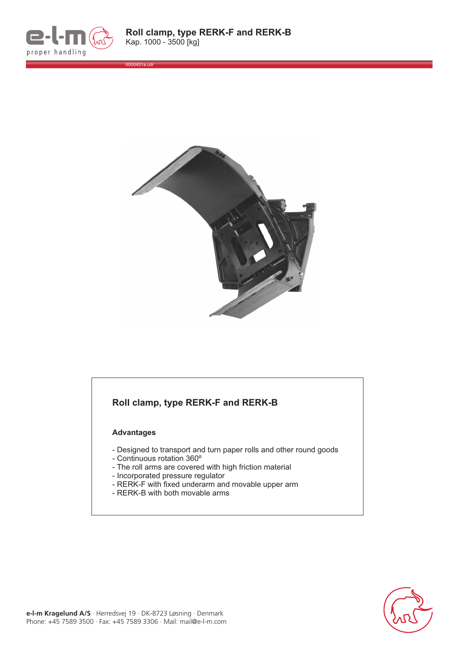

0000451a.cdr



## **Roll clamp, type RERK-F and RERK-B**

## **Advantages**

- Designed to transport and turn paper rolls and other round goods
- Continuous rotation 360º
- The roll arms are covered with high friction material
- Incorporated pressure regulator
- RERK-F with fixed underarm and movable upper arm
- RERK-B with both movable arms